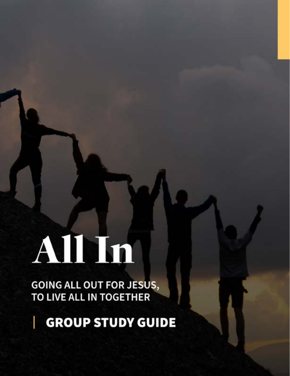# Alhin

**GOING ALL OUT FOR JESUS,<br>TO LIVE ALL IN TOGETHER** 

**GROUP STUDY GUIDE**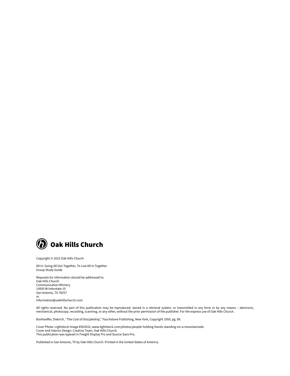

Copyright © 2022 Oak Hills Church

All In: Going All Out Together, To Live All In Together Group Study Guide

Requests for information should be addressed to: Oak Hills Church Communication Ministry 19595 W Interstate 10 San Antonio, TX 78257 or Information@oakhillschurch.com

All rights reserved. No part of this publication may be reproduced, stored in a retrieval system, or transmitted in any form or by any means – electronic, mechanical, photocopy, recording, scanning, or any other, without the prior permission of the publisher. For the express use of Oak Hills Church.

Bonhoeffer, Dietrich, "The Cost of Discipleship," Touchstone Publishing, New York, Copyright 1959, pg. 89.

Cover Photo: Lightstock Image #563532, www.lightstock.com/photos/people-holding-hands-standing-on-a-mountainside. Cover and Interior Design: Creative Team, Oak Hills Church. This publication was typeset in Freight Display Pro and Source Sans Pro.

Published in San Antonio, TX by Oak Hills Church. Printed in the United States of America.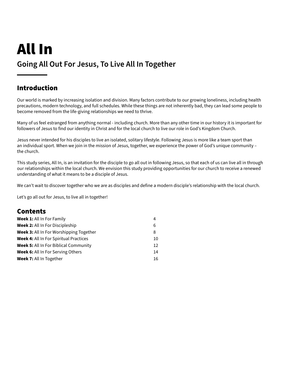# All In **Going All Out For Jesus, To Live All In Together**

### Introduction

Our world is marked by increasing isolation and division. Many factors contribute to our growing loneliness, including health precautions, modern technology, and full schedules. While these things are not inherently bad, they can lead some people to become removed from the life-giving relationships we need to thrive.

Many of us feel estranged from anything normal - including church. More than any other time in our history it is important for followers of Jesus to find our identity in Christ and for the local church to live our role in God's Kingdom Church.

Jesus never intended for his disciples to live an isolated, solitary lifestyle. Following Jesus is more like a team sport than an individual sport. When we join in the mission of Jesus, together, we experience the power of God's unique community the church.

This study series, All In, is an invitation for the disciple to go all out in following Jesus, so that each of us can live all in through our relationships within the local church. We envision this study providing opportunities for our church to receive a renewed understanding of what it means to be a disciple of Jesus.

We can't wait to discover together who we are as disciples and define a modern disciple's relationship with the local church.

Let's go all out for Jesus, to live all in together!

### Contents

| <b>Week 1:</b> All In For Family              | 4  |
|-----------------------------------------------|----|
| <b>Week 2:</b> All In For Discipleship        | 6  |
| Week 3: All In For Worshipping Together       | 8  |
| <b>Week 4: All In For Spiritual Practices</b> | 10 |
| <b>Week 5: All In For Biblical Community</b>  | 12 |
| <b>Week 6:</b> All In For Serving Others      | 14 |
| <b>Week 7: All In Together</b>                | 16 |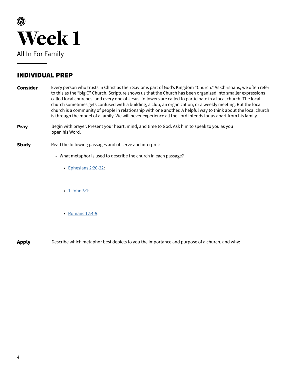

- Every person who trusts in Christ as their Savior is part of God's Kingdom "Church." As Christians, we often refer to this as the "big C" Church. Scripture shows us that the Church has been organized into smaller expressions called local churches, and every one of Jesus' followers are called to participate in a local church. The local church sometimes gets confused with a building, a club, an organization, or a weekly meeting. But the local church is a community of people in relationship with one another. A helpful way to think about the local church is through the model of a family. We will never experience all the Lord intends for us apart from his family. Consider
- Begin with prayer. Present your heart, mind, and time to God. Ask him to speak to you as you open his Word. Pray
- Read the following passages and observe and interpret: Study
	- What metaphor is used to describe the church in each passage?
		- [Ephesians 2:20-22](https://www.biblegateway.com/passage/?search=Ephesians+2%3A20-22&version=NIV&interface=print):
		- [1 John 3:1:](https://www.biblegateway.com/passage/?search=1+John+3%3A1&version=NIV&interface=print)
		- [Romans 12:4-5](https://www.biblegateway.com/passage/?search=Romans+12%3A4-5&version=NIV&interface=print):

**Apply** Describe which metaphor best depicts to you the importance and purpose of a church, and why: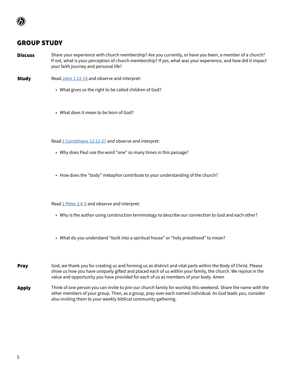- Share your experience with church membership? Are you currently, or have you been, a member of a church? If not, what is your perception of church membership? If yes, what was your experience, and how did it impact your faith journey and personal life? **Discuss**
- Read [John 1:12-13](https://www.biblegateway.com/passage/?search=John+1%3A12-13&version=NIV&interface=print) and observe and interpret: **Study** 
	- What gives us the right to be called children of God?
	- What does it mean to be born of God?

Read [1 Corinthians 12:12-27](https://www.biblegateway.com/passage/?search=1+Corinthians+12%3A12-27&version=NIV&interface=print) and observe and interpret:

- Why does Paul use the word "one" so many times in this passage?
- How does the "body" metaphor contribute to your understanding of the church?

Read [1 Peter 2:4-5](https://www.biblegateway.com/passage/?search=1+Peter+2%3A4-5&version=NIV&interface=print) and observe and interpret:

- Why is the author using construction terminology to describe our connection to God and each other?
- What do you understand "built into a spiritual house" or "holy priesthood" to mean?
- God, we thank you for creating us and forming us as distinct and vital parts within the Body of Christ. Please show us how you have uniquely gifted and placed each of us within your family, the church. We rejoice in the value and opportunity you have provided for each of us as members of your body. Amen Pray
- Think of one person you can invite to join our church family for worship this weekend. Share the name with the other members of your group. Then, as a group, pray over each named individual. As God leads you, consider also inviting them to your weekly biblical community gathering. Apply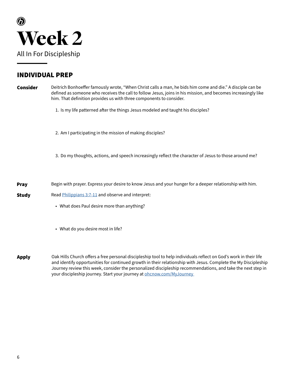

| Consider     | Deitrich Bonhoeffer famously wrote, "When Christ calls a man, he bids him come and die." A disciple can be<br>defined as someone who receives the call to follow Jesus, joins in his mission, and becomes increasingly like<br>him. That definition provides us with three components to consider. |
|--------------|----------------------------------------------------------------------------------------------------------------------------------------------------------------------------------------------------------------------------------------------------------------------------------------------------|
|              | 1. Is my life patterned after the things Jesus modeled and taught his disciples?                                                                                                                                                                                                                   |
|              | 2. Am I participating in the mission of making disciples?                                                                                                                                                                                                                                          |
|              | 3. Do my thoughts, actions, and speech increasingly reflect the character of Jesus to those around me?                                                                                                                                                                                             |
| <b>Pray</b>  | Begin with prayer. Express your desire to know Jesus and your hunger for a deeper relationship with him.                                                                                                                                                                                           |
| <b>Study</b> | Read Philippians 3:7-11 and observe and interpret:                                                                                                                                                                                                                                                 |
|              | • What does Paul desire more than anything?                                                                                                                                                                                                                                                        |
|              | • What do you desire most in life?                                                                                                                                                                                                                                                                 |
|              |                                                                                                                                                                                                                                                                                                    |

Oak Hills Church offers a free personal discipleship tool to help individuals reflect on God's work in their life and identify opportunities for continued growth in their relationship with Jesus. Complete the My Discipleship Journey review this week, consider the personalized discipleship recommendations, and take the next step in your discipleship journey. Start your journey at **ohcnow.com/MyJourney** Apply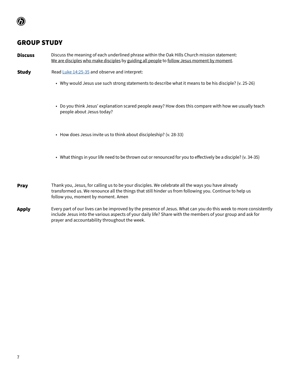- Discuss the meaning of each underlined phrase within the Oak Hills Church mission statement: We are disciples who make disciples by guiding all people to follow Jesus moment by moment. Discuss
- Read [Luke 14:25-35](https://www.biblegateway.com/passage/?search=Luke+14%3A25-35&version=NIV&interface=print) and observe and interpret: Study
	- Why would Jesus use such strong statements to describe what it means to be his disciple? (v. 25-26)
	- Do you think Jesus' explanation scared people away? How does this compare with how we usually teach people about Jesus today?
	- How does Jesus invite us to think about discipleship? (v. 28-33)
	- What things in your life need to be thrown out or renounced for you to effectively be a disciple? (v. 34-35)
- Thank you, Jesus, for calling us to be your disciples. We celebrate all the ways you have already transformed us. We renounce all the things that still hinder us from following you. Continue to help us follow you, moment by moment. Amen Pray
- Every part of our lives can be improved by the presence of Jesus. What can you do this week to more consistently include Jesus into the various aspects of your daily life? Share with the members of your group and ask for prayer and accountability throughout the week. Apply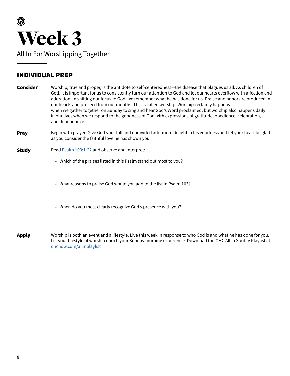

Worship, true and proper, is the antidote to self-centeredness—the disease that plagues us all. As children of God, it is important for us to consistently turn our attention to God and let our hearts overflow with affection and adoration. In shifting our focus to God, we remember what he has done for us. Praise and honor are produced in our hearts and proceed from our mouths. This is called worship. Worship certainly happens when we gather together on Sunday to sing and hear God's Word proclaimed, but worship also happens daily in our lives when we respond to the goodness of God with expressions of gratitude, obedience, celebration, and dependance. Consider

Begin with prayer. Give God your full and undivided attention. Delight in his goodness and let your heart be glad as you consider the faithful love he has shown you. Pray

### Read [Psalm 103:1-22](https://www.biblegateway.com/passage/?search=Psalm+103%3A1-22&version=NIV&interface=print) and observe and interpret: Study

- Which of the praises listed in this Psalm stand out most to you?
- What reasons to praise God would you add to the list in Psalm 103?
- When do you most clearly recognize God's presence with you?
- Worship is both an event and a lifestyle. Live this week in response to who God is and what he has done for you. Let your lifestyle of worship enrich your Sunday morning experience. Download the OHC All In Spotify Playlist at [ohcnow.com/allinplaylist](https://open.spotify.com/playlist/2YcjeVJpccfeHaKVTQoTAr) Apply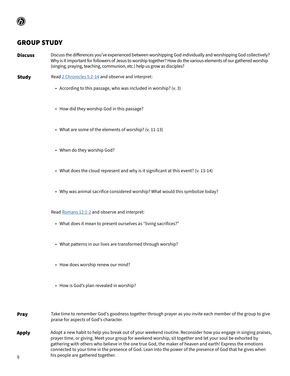- Discuss the differences you've experienced between worshipping God individually and worshipping God collectively? Why is it important for followers of Jesus to worship together? How do the various elements of our gathered worship (singing, praying, teaching, communion, etc.) help us grow as disciples? **Discuss**
- Read [2 Chronicles 5:2-14](https://www.biblegateway.com/passage/?search=2+Chronicles+5%3A2-14&version=NIV&interface=print) and observe and interpret: Study
	- According to this passage, who was included in worship? (v. 3)
	- How did they worship God in this passage?
	- What are some of the elements of worship? (v. 11-13)
	- When do they worship God?
	- What does the cloud represent and why is it significant at this event? (v. 13-14)
	- Why was animal sacrifice considered worship? What would this symbolize today?

Read [Romans 12:1-2](https://www.biblegateway.com/passage/?search=Romans+12%3A1-2&version=NIV&interface=print) and observe and interpret:

- What does it mean to present ourselves as "living sacrifices?"
- What patterns in our lives are transformed through worship?
- How does worship renew our mind?
- How is God's plan revealed in worship?
- Adopt a new habit to help you break out of your weekend routine. Reconsider how you engage in singing praises, prayer time, or giving. Meet your group for weekend worship, sit together and let your soul be exhorted by gathering with others who believe in the one true God, the maker of heaven and earth! Express the emotions connected to your time in the presence of God. Lean into the power of the presence of God that he gives when his people are gathered together. Apply Take time to remember God's goodness together through prayer as you invite each member of the group to give praise for aspects of God's character. Pray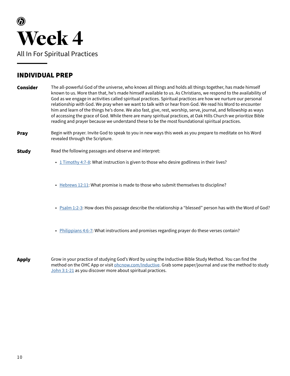

The all-powerful God of the universe, who knows all things and holds all things together, has made himself known to us. More than that, he's made himself available to us. As Christians, we respond to the availability of God as we engage in activities called spiritual practices. Spiritual practices are how we nurture our personal relationship with God. We pray when we want to talk with or hear from God. We read his Word to encounter him and learn of the things he's done. We also fast, give, rest, worship, serve, journal, and fellowship as ways of accessing the grace of God. While there are many spiritual practices, at Oak Hills Church we prioritize Bible reading and prayer because we understand these to be the most foundational spiritual practices. Consider

Begin with prayer. Invite God to speak to you in new ways this week as you prepare to meditate on his Word revealed through the Scripture. Pray

### Read the following passages and observe and interpret: Study

- [1 Timothy 4:7-8](https://www.biblegateway.com/passage/?search=1+Timothy+4%3A7-8&version=NIV&interface=print): What instruction is given to those who desire godliness in their lives?
- [Hebrews 12:11:](https://www.biblegateway.com/passage/?search=Hebrews+12%3A11&version=NIV&interface=print) What promise is made to those who submit themselves to discipline?
- [Psalm 1:2-3:](https://www.biblegateway.com/passage/?search=Psalm+1%3A2-3&version=NIV&interface=print) How does this passage describe the relationship a "blessed" person has with the Word of God?
- [Philippians 4:6-7](https://www.biblegateway.com/passage/?search=Philippians+4%3A6-7&version=NIV&interface=print): What instructions and promises regarding prayer do these verses contain?

Grow in your practice of studying God's Word by using the Inductive Bible Study Method. You can find the method on the OHC App or visit **ohcnow.com/Inductive**. Grab some paper/journal and use the method to study [John 3:1-21](https://www.biblegateway.com/passage/?search=John+3%3A1-21&version=NIV&interface=print) as you discover more about spiritual practices. Apply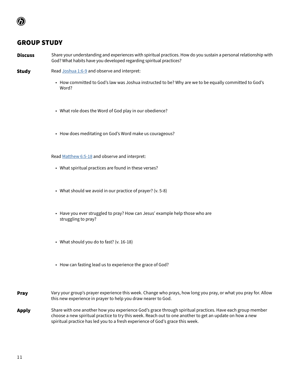- Share your understanding and experiences with spiritual practices. How do you sustain a personal relationship with God? What habits have you developed regarding spiritual practices? Discuss
- Read [Joshua 1:6-9](https://www.biblegateway.com/passage/?search=Joshua+1%3A6-9&version=NIV&interface=print) and observe and interpret: **Study** 
	- How committed to God's law was Joshua instructed to be? Why are we to be equally committed to God's Word?
	- What role does the Word of God play in our obedience?
	- How does meditating on God's Word make us courageous?

Read [Matthew 6:5-18](https://www.biblegateway.com/passage/?search=Matthew+6%3A5-18&version=NIV&interface=print) and observe and interpret:

- What spiritual practices are found in these verses?
- What should we avoid in our practice of prayer? (v. 5-8)
- Have you ever struggled to pray? How can Jesus' example help those who are struggling to pray?
- What should you do to fast? (v. 16-18)
- How can fasting lead us to experience the grace of God?
- Vary your group's prayer experience this week. Change who prays, how long you pray, or what you pray for. Allow this new experience in prayer to help you draw nearer to God. Pray
- Share with one another how you experience God's grace through spiritual practices. Have each group member choose a new spiritual practice to try this week. Reach out to one another to get an update on how a new spiritual practice has led you to a fresh experience of God's grace this week. Apply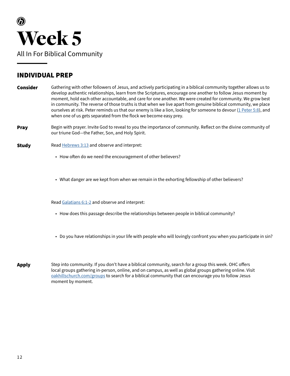

Gathering with other followers of Jesus, and actively participating in a biblical community together allows us to develop authentic relationships, learn from the Scriptures, encourage one another to follow Jesus moment by moment, hold each other accountable, and care for one another. We were created for community. We grow best in community. The reverse of those truths is that when we live apart from genuine biblical community, we place ourselves at risk. Peter reminds us that our enemy is like a lion, looking for someone to devour [\(1 Peter 5:8\)](https://www.biblegateway.com/passage/?search=1+Peter+5%3A8&version=NIV&interface=print), and when one of us gets separated from the flock we become easy prey. Consider

- Begin with prayer. Invite God to reveal to you the importance of community. Reflect on the divine community of our triune God—the Father, Son, and Holy Spirit. Pray
- Read **Hebrews 3:13** and observe and interpret: **Study** 
	- How often do we need the encouragement of other believers?
	- What danger are we kept from when we remain in the exhorting fellowship of other believers?

Read [Galatians 6:1-2](https://www.biblegateway.com/passage/?search=Galatians+6%3A1-2&version=NIV&interface=print) and observe and interpret:

- How does this passage describe the relationships between people in biblical community?
- Do you have relationships in your life with people who will lovingly confront you when you participate in sin?
- Step into community. If you don't have a biblical community, search for a group this week. OHC offers local groups gathering in-person, online, and on campus, as well as global groups gathering online. Visit [oakhillschurch.com/groups](https://oakhillschurch.com/groups) to search for a biblical community that can encourage you to follow Jesus moment by moment. Apply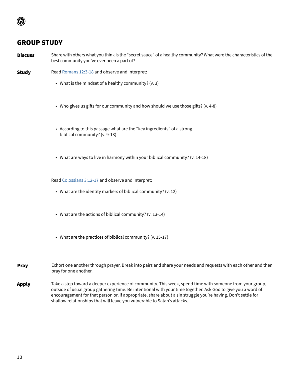Share with others what you think is the "secret sauce" of a healthy community? What were the characteristics of the best community you've ever been a part of? Discuss

- Read [Romans 12:3-18](https://www.biblegateway.com/passage/?search=Romans+12%3A3-18&version=NIV&interface=print) and observe and interpret: **Study** 
	- What is the mindset of a healthy community? (v. 3)
	- Who gives us gifts for our community and how should we use those gifts? (v. 4-8)
	- According to this passage what are the "key ingredients" of a strong biblical community? (v. 9-13)
	- What are ways to live in harmony within your biblical community? (v. 14-18)

Read [Colossians 3:12-17](https://www.biblegateway.com/passage/?search=Colossians+3%3A12-17&version=NIV&interface=print) and observe and interpret:

- What are the identity markers of biblical community? (v. 12)
- What are the actions of biblical community? (v. 13-14)
- What are the practices of biblical community? (v. 15-17)
- Exhort one another through prayer. Break into pairs and share your needs and requests with each other and then pray for one another. Pray
- Take a step toward a deeper experience of community. This week, spend time with someone from your group, outside of usual group gathering time. Be intentional with your time together. Ask God to give you a word of encouragement for that person or, if appropriate, share about a sin struggle you're having. Don't settle for shallow relationships that will leave you vulnerable to Satan's attacks. Apply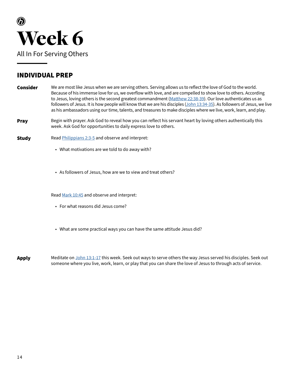

- We are most like Jesus when we are serving others. Serving allows us to reflect the love of God to the world. Because of his immense love for us, we overflow with love, and are compelled to show love to others. According to Jesus, loving others is the second greatest commandment ([Matthew 22:38-39\)](https://www.biblegateway.com/passage/?search=Matthew+22%3A38-39&version=NIV&interface=print). Our love authenticates us as followers of Jesus. It is how people will know that we are his disciples [\(John 13:34-35](https://www.biblegateway.com/passage/?search=John+13%3A34-35&version=NIV&interface=print)). As followers of Jesus, we live as his ambassadors using our time, talents, and treasures to make disciples where we live, work, learn, and play. Consider
- Begin with prayer. Ask God to reveal how you can reflect his servant heart by loving others authentically this week. Ask God for opportunities to daily express love to others. Pray

### Read [Philippians 2:3-5](https://www.biblegateway.com/passage/?search=Philippians+2%3A3-5&version=NIV&interface=print) and observe and interpret: **Study**

- What motivations are we told to do away with?
- As followers of Jesus, how are we to view and treat others?

Read [Mark 10:45](https://www.biblegateway.com/passage/?search=Mark+10%3A45&version=NIV&interface=print) and observe and interpret:

- For what reasons did Jesus come?
- What are some practical ways you can have the same attitude Jesus did?
- Meditate on [John 13:1-17](https://www.biblegateway.com/passage/?search=John+13%3A1-17&version=NIV&interface=print) this week. Seek out ways to serve others the way Jesus served his disciples. Seek out someone where you live, work, learn, or play that you can share the love of Jesus to through acts of service. Apply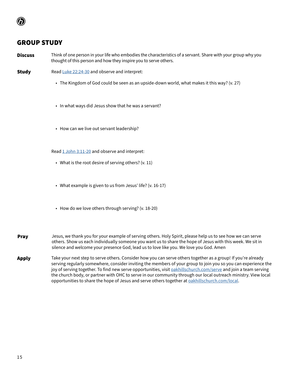- Think of one person in your life who embodies the characteristics of a servant. Share with your group why you thought of this person and how they inspire you to serve others. Discuss
- Read [Luke 22:24-30](https://www.biblegateway.com/passage/?search=Luke+22%3A24-30&version=NIV&interface=print) and observe and interpret: **Study** 
	- The Kingdom of God could be seen as an upside-down world, what makes it this way? (v. 27)
	- In what ways did Jesus show that he was a servant?
	- How can we live out servant leadership?

Read [1 John 3:11-20](https://www.biblegateway.com/passage/?search=1+John+3%3A11-20&version=NIV&interface=print) and observe and interpret:

- What is the root desire of serving others? (v. 11)
- What example is given to us from Jesus' life? (v. 16-17)
- How do we love others through serving? (v. 18-20)
- Jesus, we thank you for your example of serving others. Holy Spirit, please help us to see how we can serve others. Show us each individually someone you want us to share the hope of Jesus with this week. We sit in silence and welcome your presence God, lead us to love like you. We love you God. Amen Pray
- Take your next step to serve others. Consider how you can serve others together as a group! If you're already serving regularly somewhere, consider inviting the members of your group to join you so you can experience the joy of serving together. To find new serve opportunities, visit [oakhillschurch.com/serve](http://oakhillschurch.com/serve) and join a team serving the church body, or partner with OHC to serve in our community through our local outreach ministry. View local opportunities to share the hope of Jesus and serve others together at [oakhillschurch.com/local.](https://oakhillschurch.com/local) Apply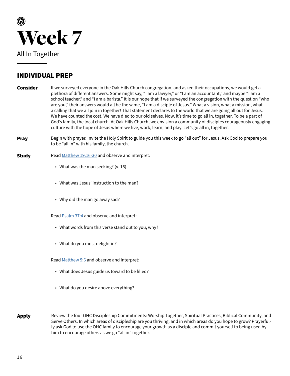

- If we surveyed everyone in the Oak Hills Church congregation, and asked their occupations, we would get a plethora of different answers. Some might say, "I am a lawyer," or "I am an accountant," and maybe "I am a school teacher," and "I am a barista." It is our hope that if we surveyed the congregation with the question "who are you," their answers would all be the same, "I am a disciple of Jesus." What a vision, what a mission, what a calling that we all join in together! That statement declares to the world that we are going all out for Jesus. We have counted the cost. We have died to our old selves. Now, it's time to go all in, together. To be a part of God's family, the local church. At Oak Hills Church, we envision a community of disciples courageously engaging culture with the hope of Jesus where we live, work, learn, and play. Let's go all in, together. Consider
- Begin with prayer. Invite the Holy Spirit to guide you this week to go "all out" for Jesus. Ask God to prepare you to be "all in" with his family, the church. Pray
- Read [Matthew 19:16-30](https://www.biblegateway.com/passage/?search=Matthew+19%3A16-30&version=NIV&interface=print) and observe and interpret: Study
	- What was the man seeking? (v. 16)
	- What was Jesus' instruction to the man?
	- Why did the man go away sad?

Read [Psalm 37:4](https://www.biblegateway.com/passage/?search=Psalm+37%3A4&version=NIV&interface=print) and observe and interpret:

- What words from this verse stand out to you, why?
- What do you most delight in?

Read [Matthew 5:6](https://www.biblegateway.com/passage/?search=Matthew+5%3A6&version=NIV&interface=print) and observe and interpret:

- What does Jesus guide us toward to be filled?
- What do you desire above everything?
- Review the four OHC Discipleship Commitments: Worship Together, Spiritual Practices, Biblical Community, and Serve Others. In which areas of discipleship are you thriving, and in which areas do you hope to grow? Prayerfully ask God to use the OHC family to encourage your growth as a disciple and commit yourself to being used by him to encourage others as we go "all in" together. Apply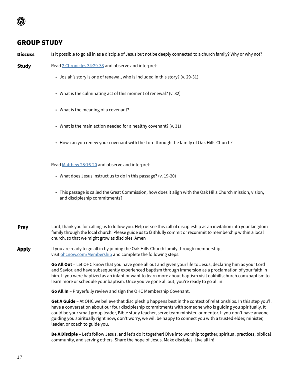**Discuss** Is it possible to go all in as a disciple of Jesus but not be deeply connected to a church family? Why or why not?

**Study** 

• Josiah's story is one of renewal, who is included in this story? (v. 29-31)

Read [2 Chronicles 34:29-33](https://www.biblegateway.com/passage/?search=2+Chronicles+34%3A29-33&version=NIV&interface=print) and observe and interpret:

- What is the culminating act of this moment of renewal? (v. 32)
- What is the meaning of a covenant?
- What is the main action needed for a healthy covenant? (v. 31)
- How can you renew your covenant with the Lord through the family of Oak Hills Church?

Read [Matthew 28:16-20](https://www.biblegateway.com/passage/?search=Matthew+28%3A16-20&version=NIV&interface=print) and observe and interpret:

- What does Jesus instruct us to do in this passage? (v. 19-20)
- This passage is called the Great Commission, how does it align with the Oak Hills Church mission, vision, and discipleship commitments?
- Lord, thank you for calling us to follow you. Help us see this call of discipleship as an invitation into your kingdom family through the local church. Please guide us to faithfully commit or recommit to membership within a local church, so that we might grow as disciples. Amen Pray

If you are ready to go all in by joining the Oak Hills Church family through membership, visit [ohcnow.com/Membership](http://ohcnow.com/Membership) and complete the following steps: Apply

> **Go All Out** – Let OHC know that you have gone all out and given your life to Jesus, declaring him as your Lord and Savior, and have subsequently experienced baptism through immersion as a proclamation of your faith in him. If you were baptized as an infant or want to learn more about baptism visit oakhillschurch.com/baptism to learn more or schedule your baptism. Once you've gone all out, you're ready to go all in!

**Go All In** – Prayerfully review and sign the OHC Membership Covenant.

**Get A Guide** – At OHC we believe that discipleship happens best in the context of relationships. In this step you'll have a conversation about our four discipleship commitments with someone who is guiding you spiritually. It could be your small group leader, Bible study teacher, serve team minister, or mentor. If you don't have anyone guiding you spiritually right now, don't worry, we will be happy to connect you with a trusted elder, minister, leader, or coach to guide you.

**Be A Disciple** – Let's follow Jesus, and let's do it together! Dive into worship together, spiritual practices, biblical community, and serving others. Share the hope of Jesus. Make disciples. Live all in!